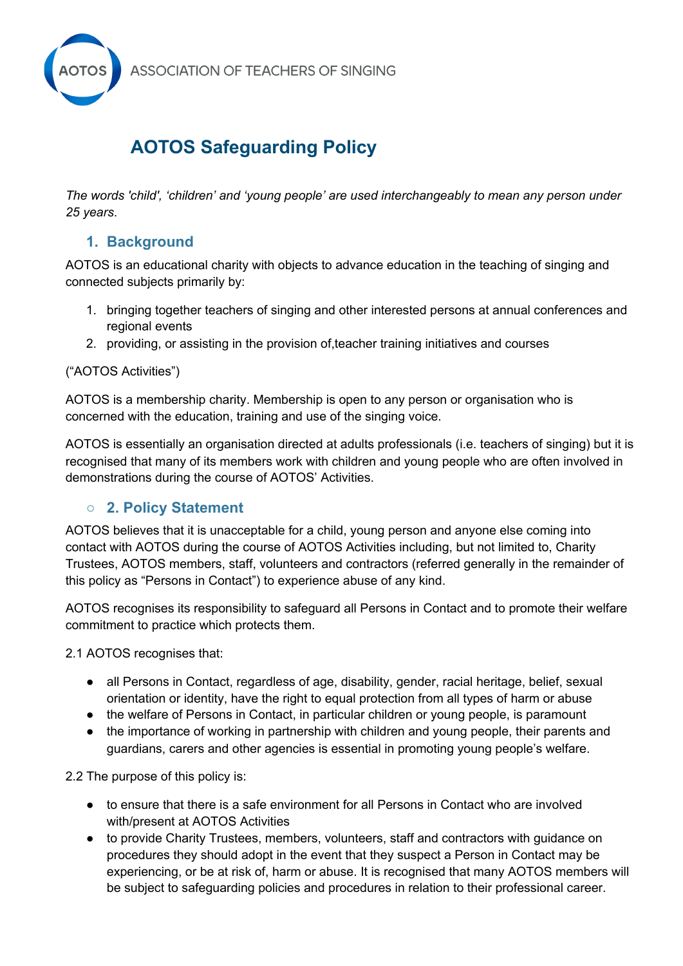

# **AOTOS Safeguarding Policy**

*The words 'child', 'children' and 'young people' are used interchangeably to mean any person under 25 years*.

# **1. Background**

AOTOS is an educational charity with objects to advance education in the teaching of singing and connected subjects primarily by:

- 1. bringing together teachers of singing and other interested persons at annual conferences and regional events
- 2. providing, or assisting in the provision of,teacher training initiatives and courses

#### ("AOTOS Activities")

AOTOS is a membership charity. Membership is open to any person or organisation who is concerned with the education, training and use of the singing voice.

AOTOS is essentially an organisation directed at adults professionals (i.e. teachers of singing) but it is recognised that many of its members work with children and young people who are often involved in demonstrations during the course of AOTOS' Activities.

# ○ **2. Policy Statement**

AOTOS believes that it is unacceptable for a child, young person and anyone else coming into contact with AOTOS during the course of AOTOS Activities including, but not limited to, Charity Trustees, AOTOS members, staff, volunteers and contractors (referred generally in the remainder of this policy as "Persons in Contact") to experience abuse of any kind.

AOTOS recognises its responsibility to safeguard all Persons in Contact and to promote their welfare commitment to practice which protects them.

2.1 AOTOS recognises that:

- all Persons in Contact, regardless of age, disability, gender, racial heritage, belief, sexual orientation or identity, have the right to equal protection from all types of harm or abuse
- the welfare of Persons in Contact, in particular children or young people, is paramount
- the importance of working in partnership with children and young people, their parents and guardians, carers and other agencies is essential in promoting young people's welfare.

2.2 The purpose of this policy is:

- to ensure that there is a safe environment for all Persons in Contact who are involved with/present at AOTOS Activities
- to provide Charity Trustees, members, volunteers, staff and contractors with guidance on procedures they should adopt in the event that they suspect a Person in Contact may be experiencing, or be at risk of, harm or abuse. It is recognised that many AOTOS members will be subject to safeguarding policies and procedures in relation to their professional career.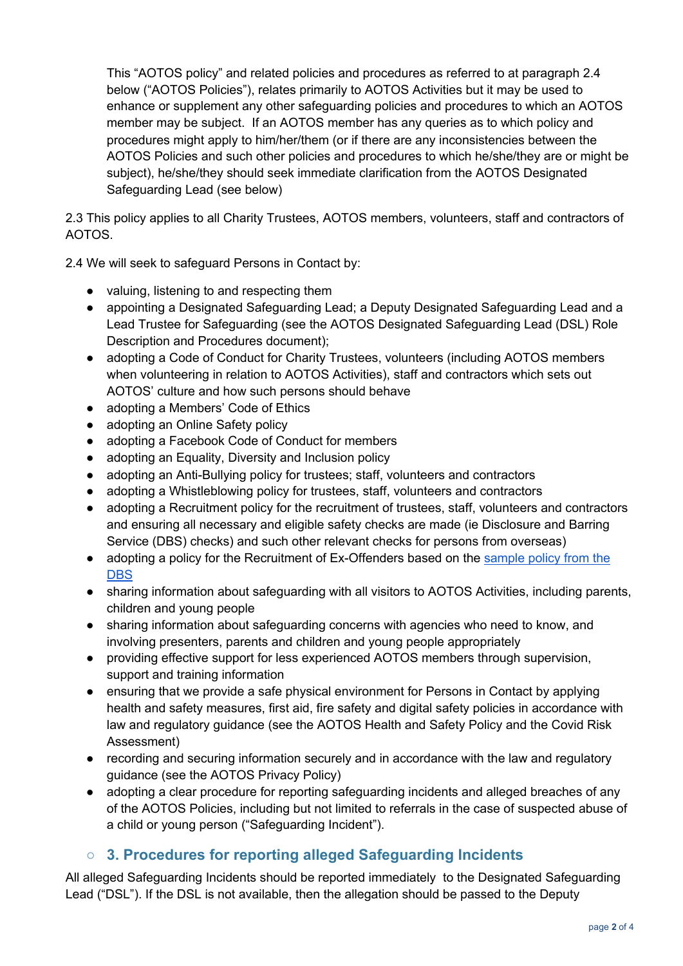This "AOTOS policy" and related policies and procedures as referred to at paragraph 2.4 below ("AOTOS Policies"), relates primarily to AOTOS Activities but it may be used to enhance or supplement any other safeguarding policies and procedures to which an AOTOS member may be subject. If an AOTOS member has any queries as to which policy and procedures might apply to him/her/them (or if there are any inconsistencies between the AOTOS Policies and such other policies and procedures to which he/she/they are or might be subject), he/she/they should seek immediate clarification from the AOTOS Designated Safeguarding Lead (see below)

2.3 This policy applies to all Charity Trustees, AOTOS members, volunteers, staff and contractors of AOTOS.

2.4 We will seek to safeguard Persons in Contact by:

- valuing, listening to and respecting them
- appointing a Designated Safeguarding Lead; a Deputy Designated Safeguarding Lead and a Lead Trustee for Safeguarding (see the AOTOS Designated Safeguarding Lead (DSL) Role Description and Procedures document);
- adopting a Code of Conduct for Charity Trustees, volunteers (including AOTOS members when volunteering in relation to AOTOS Activities), staff and contractors which sets out AOTOS' culture and how such persons should behave
- adopting a Members' Code of Ethics
- adopting an Online Safety policy
- adopting a Facebook Code of Conduct for members
- adopting an Equality, Diversity and Inclusion policy
- adopting an Anti-Bullying policy for trustees; staff, volunteers and contractors
- adopting a Whistleblowing policy for trustees, staff, volunteers and contractors
- adopting a Recruitment policy for the recruitment of trustees, staff, volunteers and contractors and ensuring all necessary and eligible safety checks are made (ie Disclosure and Barring Service (DBS) checks) and such other relevant checks for persons from overseas)
- adopting a policy for the Recruitment of Ex-Offenders based on the sample policy from the **DBS**
- sharing information about safeguarding with all visitors to AOTOS Activities, including parents, children and young people
- sharing information about safeguarding concerns with agencies who need to know, and involving presenters, parents and children and young people appropriately
- providing effective support for less experienced AOTOS members through supervision, support and training information
- ensuring that we provide a safe physical environment for Persons in Contact by applying health and safety measures, first aid, fire safety and digital safety policies in accordance with law and regulatory guidance (see the AOTOS Health and Safety Policy and the Covid Risk Assessment)
- recording and securing information securely and in accordance with the law and regulatory guidance (see the AOTOS Privacy Policy)
- adopting a clear procedure for reporting safeguarding incidents and alleged breaches of any of the AOTOS Policies, including but not limited to referrals in the case of suspected abuse of a child or young person ("Safeguarding Incident").

# ○ **3. Procedures for reporting alleged Safeguarding Incidents**

All alleged Safeguarding Incidents should be reported immediately to the Designated Safeguarding Lead ("DSL"). If the DSL is not available, then the allegation should be passed to the Deputy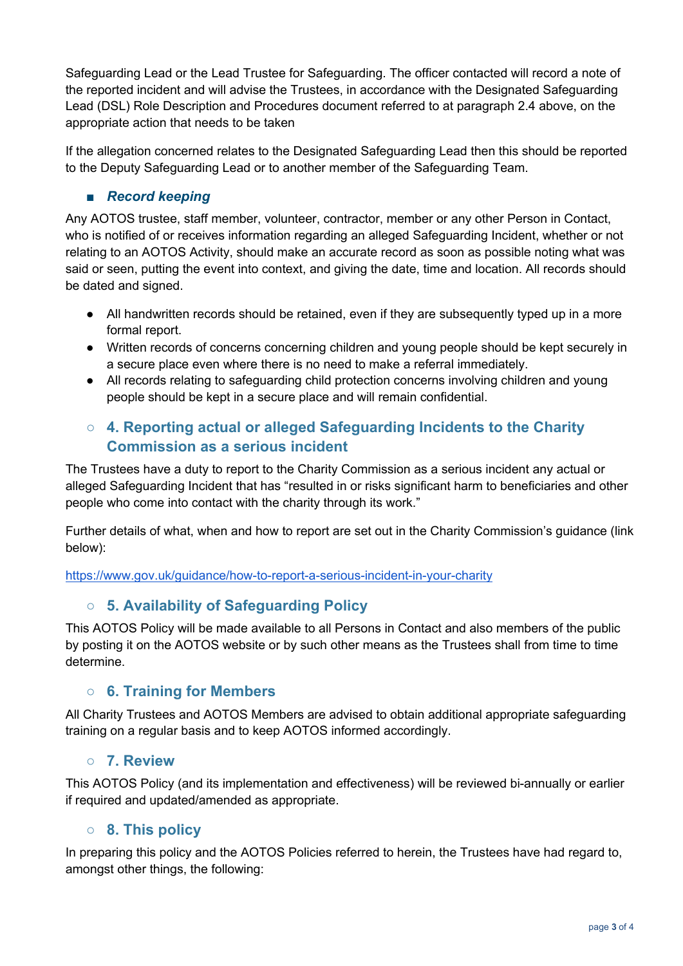Safeguarding Lead or the Lead Trustee for Safeguarding. The officer contacted will record a note of the reported incident and will advise the Trustees, in accordance with the Designated Safeguarding Lead (DSL) Role Description and Procedures document referred to at paragraph 2.4 above, on the appropriate action that needs to be taken

If the allegation concerned relates to the Designated Safeguarding Lead then this should be reported to the Deputy Safeguarding Lead or to another member of the Safeguarding Team.

#### ■ *Record keeping*

Any AOTOS trustee, staff member, volunteer, contractor, member or any other Person in Contact, who is notified of or receives information regarding an alleged Safeguarding Incident, whether or not relating to an AOTOS Activity, should make an accurate record as soon as possible noting what was said or seen, putting the event into context, and giving the date, time and location. All records should be dated and signed.

- All handwritten records should be retained, even if they are subsequently typed up in a more formal report.
- Written records of concerns concerning children and young people should be kept securely in a secure place even where there is no need to make a referral immediately.
- All records relating to safeguarding child protection concerns involving children and young people should be kept in a secure place and will remain confidential.

# ○ **4. Reporting actual or alleged Safeguarding Incidents to the Charity Commission as a serious incident**

The Trustees have a duty to report to the Charity Commission as a serious incident any actual or alleged Safeguarding Incident that has "resulted in or risks significant harm to beneficiaries and other people who come into contact with the charity through its work."

Further details of what, when and how to report are set out in the Charity Commission's guidance (link below):

https://www.gov.uk/guidance/how-to-report-a-serious-incident-in-your-charity

# ○ **5. Availability of Safeguarding Policy**

This AOTOS Policy will be made available to all Persons in Contact and also members of the public by posting it on the AOTOS website or by such other means as the Trustees shall from time to time determine.

#### ○ **6. Training for Members**

All Charity Trustees and AOTOS Members are advised to obtain additional appropriate safeguarding training on a regular basis and to keep AOTOS informed accordingly.

#### ○ **7. Review**

This AOTOS Policy (and its implementation and effectiveness) will be reviewed bi-annually or earlier if required and updated/amended as appropriate.

#### ○ **8. This policy**

In preparing this policy and the AOTOS Policies referred to herein, the Trustees have had regard to, amongst other things, the following: